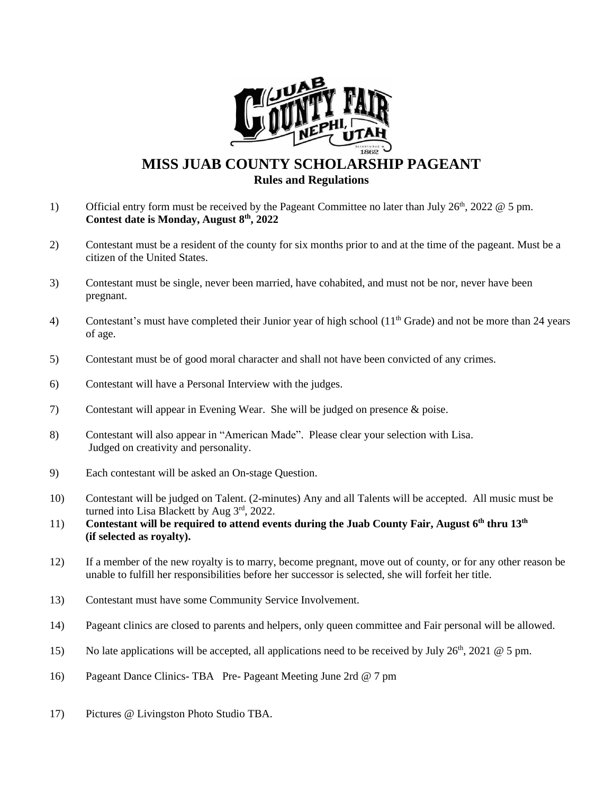

## **MISS JUAB COUNTY SCHOLARSHIP PAGEANT Rules and Regulations**

- 1) Official entry form must be received by the Pageant Committee no later than July  $26<sup>th</sup>$ ,  $2022 \& 5$  pm. **Contest date is Monday, August 8 th, 2022**
- 2) Contestant must be a resident of the county for six months prior to and at the time of the pageant. Must be a citizen of the United States.
- 3) Contestant must be single, never been married, have cohabited, and must not be nor, never have been pregnant.
- 4) Contestant's must have completed their Junior year of high school (11<sup>th</sup> Grade) and not be more than 24 years of age.
- 5) Contestant must be of good moral character and shall not have been convicted of any crimes.
- 6) Contestant will have a Personal Interview with the judges.
- 7) Contestant will appear in Evening Wear. She will be judged on presence & poise.
- 8) Contestant will also appear in "American Made". Please clear your selection with Lisa. Judged on creativity and personality.
- 9) Each contestant will be asked an On-stage Question.
- 10) Contestant will be judged on Talent. (2-minutes) Any and all Talents will be accepted. All music must be turned into Lisa Blackett by Aug 3rd, 2022.
- 11) Contestant will be required to attend events during the Juab County Fair, August 6<sup>th</sup> thru 13<sup>th</sup>  **(if selected as royalty).**
- 12) If a member of the new royalty is to marry, become pregnant, move out of county, or for any other reason be unable to fulfill her responsibilities before her successor is selected, she will forfeit her title.
- 13) Contestant must have some Community Service Involvement.
- 14) Pageant clinics are closed to parents and helpers, only queen committee and Fair personal will be allowed.
- 15) No late applications will be accepted, all applications need to be received by July 26<sup>th</sup>, 2021 @ 5 pm.
- 16) Pageant Dance Clinics- TBA Pre- Pageant Meeting June 2rd @ 7 pm
- 17) Pictures @ Livingston Photo Studio TBA.